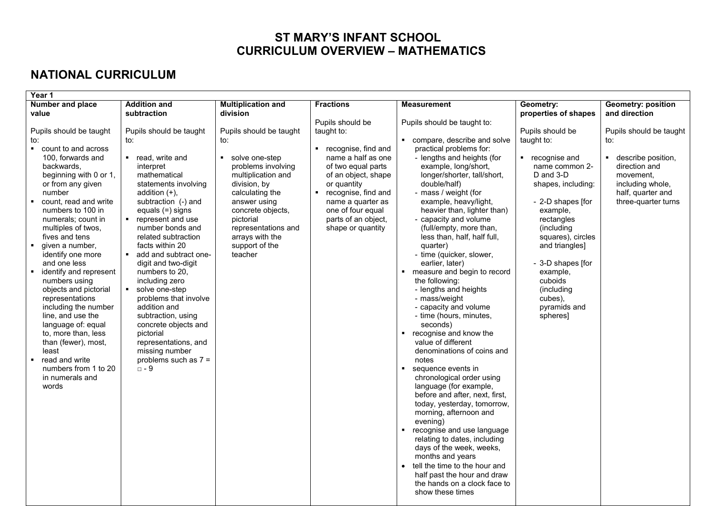## **ST MARY'S INFANT SCHOOL CURRICULUM OVERVIEW – MATHEMATICS**

## **NATIONAL CURRICULUM**

| Year 1                                                   |                                           |                                          |                                           |                                                                  |                                   |                                            |  |  |  |  |  |  |
|----------------------------------------------------------|-------------------------------------------|------------------------------------------|-------------------------------------------|------------------------------------------------------------------|-----------------------------------|--------------------------------------------|--|--|--|--|--|--|
| Number and place<br>value                                | <b>Addition and</b><br>subtraction        | <b>Multiplication and</b><br>division    | <b>Fractions</b>                          | <b>Measurement</b>                                               | Geometry:<br>properties of shapes | <b>Geometry: position</b><br>and direction |  |  |  |  |  |  |
|                                                          |                                           |                                          | Pupils should be                          | Pupils should be taught to:                                      |                                   |                                            |  |  |  |  |  |  |
| Pupils should be taught                                  | Pupils should be taught                   | Pupils should be taught<br>to:           | taught to:                                | compare, describe and solve                                      | Pupils should be<br>taught to:    | Pupils should be taught                    |  |  |  |  |  |  |
| to:<br>• count to and across                             | to:                                       |                                          | ■ recognise, find and                     | practical problems for:                                          |                                   | to:                                        |  |  |  |  |  |  |
| 100, forwards and                                        | ■ read, write and                         | solve one-step                           | name a half as one                        | - lengths and heights (for                                       | ■ recognise and                   | describe position,<br>$\blacksquare$       |  |  |  |  |  |  |
| backwards.<br>beginning with 0 or 1,                     | interpret<br>mathematical                 | problems involving<br>multiplication and | of two equal parts<br>of an object, shape | example, long/short,<br>longer/shorter, tall/short,              | name common 2-<br>D and 3-D       | direction and<br>movement,                 |  |  |  |  |  |  |
| or from any given                                        | statements involving                      | division, by                             | or quantity                               | double/half)                                                     | shapes, including:                | including whole,                           |  |  |  |  |  |  |
| number                                                   | addition $(+)$ ,                          | calculating the                          | ■ recognise, find and                     | - mass / weight (for                                             |                                   | half, quarter and                          |  |  |  |  |  |  |
| count, read and write<br>numbers to 100 in               | subtraction (-) and<br>equals $(=)$ signs | answer using<br>concrete objects,        | name a quarter as<br>one of four equal    | example, heavy/light,<br>heavier than, lighter than)             | - 2-D shapes [for<br>example,     | three-quarter turns                        |  |  |  |  |  |  |
| numerals; count in                                       | ■ represent and use                       | pictorial                                | parts of an object,                       | - capacity and volume                                            | rectangles                        |                                            |  |  |  |  |  |  |
| multiples of twos,<br>fives and tens                     | number bonds and<br>related subtraction   | representations and                      | shape or quantity                         | (full/empty, more than,<br>less than, half, half full,           | (including<br>squares), circles   |                                            |  |  |  |  |  |  |
| given a number,                                          | facts within 20                           | arrays with the<br>support of the        |                                           | quarter)                                                         | and triangles]                    |                                            |  |  |  |  |  |  |
| identify one more                                        | $\blacksquare$<br>add and subtract one-   | teacher                                  |                                           | - time (quicker, slower,                                         |                                   |                                            |  |  |  |  |  |  |
| and one less<br>identify and represent<br>$\blacksquare$ | digit and two-digit<br>numbers to 20,     |                                          |                                           | earlier, later)<br>measure and begin to record<br>$\blacksquare$ | - 3-D shapes [for<br>example,     |                                            |  |  |  |  |  |  |
| numbers using                                            | including zero                            |                                          |                                           | the following:                                                   | cuboids                           |                                            |  |  |  |  |  |  |
| objects and pictorial<br>representations                 | solve one-step<br>problems that involve   |                                          |                                           | - lengths and heights<br>- mass/weight                           | (including<br>cubes),             |                                            |  |  |  |  |  |  |
| including the number                                     | addition and                              |                                          |                                           | - capacity and volume                                            | pyramids and                      |                                            |  |  |  |  |  |  |
| line, and use the                                        | subtraction, using                        |                                          |                                           | - time (hours, minutes,                                          | spheres]                          |                                            |  |  |  |  |  |  |
| language of: equal<br>to, more than, less                | concrete objects and<br>pictorial         |                                          |                                           | seconds)<br>recognise and know the                               |                                   |                                            |  |  |  |  |  |  |
| than (fewer), most,                                      | representations, and                      |                                          |                                           | value of different                                               |                                   |                                            |  |  |  |  |  |  |
| least<br>read and write<br>$\blacksquare$                | missing number<br>problems such as $7 =$  |                                          |                                           | denominations of coins and<br>notes                              |                                   |                                            |  |  |  |  |  |  |
| numbers from 1 to 20                                     | $\square$ - 9                             |                                          |                                           | sequence events in                                               |                                   |                                            |  |  |  |  |  |  |
| in numerals and                                          |                                           |                                          |                                           | chronological order using<br>language (for example,              |                                   |                                            |  |  |  |  |  |  |
| words                                                    |                                           |                                          |                                           | before and after, next, first,                                   |                                   |                                            |  |  |  |  |  |  |
|                                                          |                                           |                                          |                                           | today, yesterday, tomorrow,                                      |                                   |                                            |  |  |  |  |  |  |
|                                                          |                                           |                                          |                                           | morning, afternoon and<br>evening)                               |                                   |                                            |  |  |  |  |  |  |
|                                                          |                                           |                                          |                                           | recognise and use language<br>$\blacksquare$                     |                                   |                                            |  |  |  |  |  |  |
|                                                          |                                           |                                          |                                           | relating to dates, including<br>days of the week, weeks,         |                                   |                                            |  |  |  |  |  |  |
|                                                          |                                           |                                          |                                           | months and years                                                 |                                   |                                            |  |  |  |  |  |  |
|                                                          |                                           |                                          |                                           | tell the time to the hour and                                    |                                   |                                            |  |  |  |  |  |  |
|                                                          |                                           |                                          |                                           | half past the hour and draw<br>the hands on a clock face to      |                                   |                                            |  |  |  |  |  |  |
|                                                          |                                           |                                          |                                           | show these times                                                 |                                   |                                            |  |  |  |  |  |  |
|                                                          |                                           |                                          |                                           |                                                                  |                                   |                                            |  |  |  |  |  |  |